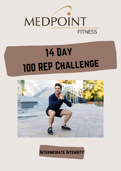

# Day REP Challenge



Intermediate Intensity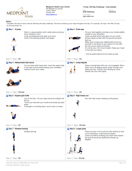

**Medpoint Health Care Centre** 355 Wellington St. Unit 233 London, Ontario 519-432-1919 www.medpoint.ca

**14 Day 100 Rep Challenge - Intermediate**

Client **EHS Wellness**

Client ID 46948428

Online acces login.wibbi.com

#### **Notes :**

Complete 100 reps of each exercise following the daily challenge. Feel free to break up your reps throughout the day. For example, 25 reps in the AM, 25 reps at morning break, etc.

### 1 **Day 1 - X-jump** Start in a squat position with a wide stance and your arms hanging in front. Jump up explosively and open your arms. Land in the starting position and repeat.



2 **Day 2 - Push-ups**

Put your feet together and place your hands slightly outside of your shoulders.

Lower yourself all the way down so your chest almost makes contact with the ground and push back up.

Make sure to brace your abdominals and move yourself in one block so your pelvis is in line with the rest of your body at all times. Do not let your chin move forward. Keep your head in line with your spine.

\* Can be performed from the knees as well.

Sets: 1 Reps: 100

4 **Day 4 - Jump Squats**

### 3 **Day 3 - Abdominals heel touch**



Sets: 1 Reps: 100

On your back with knees bent, move the upper body to the right and left while keeping your shoulders raised to touch your heels.

Sets: 1 Reps: 100

Keep a neutral back with your core engaged. Move down into a 45 degree squat, power through your heels and hop. Cushion your landing by move directly into your next squat.

Run with high knees, keeping a tall posture.



|  | Sets: 1 Reps: 100/side |
|--|------------------------|

#### 5 **Day 5 - Supine jack knife**

Lay on the floor. Lift your legs and arms straight into 6 **Day 6 - High knees run**

the air. Touch your feet with your hands and slowly lay back down. If strength is a limiting factor, touch shins or knees.





Sets: 1 Reps: 100/side

Sets: 1 Reps: 100

Sets: 1 Reps: 100

7 **Day 7 - Shadow boxing**

Shadow boxing.



Place one foot in front and the other behind so that you're standing in a split stance position. Lower yourself by bringing your back knee toward the ground and jump explosively directly up. Repeat.

Sets: 1 Reps: 50/side

Prepared by Kate Lein | kate@medpoint.ca | Feb 23, 2022 © Physiotec 1996-2022. All rights reserved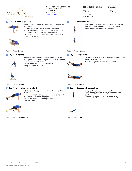

9 **Day 9 - Spiderman push-up**

**Medpoint Health Care Centre** 355 Wellington St. Unit 233 London, Ontario 519-432-1919 www.medpoint.ca

#### **14 Day 100 Rep Challenge - Intermediate**

Run with shorter steps than usual and at each 3rd step, bring your heel to your buttock actively to alternate between the left and right leg.

Lie down on your back with your legs and shoulders

Kick your legs in a small range of motion.

lifted just off the floor.

Client **EHS Wellness**

Client ID 46948428

Online acces login.wibbi.com

### 10 **Day 10 - Heel to buttock sequence**



Put your feet together and hands slightly outside the shoulders. Lower yourself all the way down so your chest

almost makes contact with the ground at the same time that you bring one knee toward the hand. Do not let the chin move forward. Keep the head in line with the spine.

Sets: 1 Reps: 50/side

#### 11 **Day 11 - Windmills**



Start with a wide stance and rotate and flex at the hips (pushing the hips back) as you reach toward the foot with the opposite arm. Do not round the upper or lower back. Keep chest and eyes up.



#### Sets: 1 Reps: 100/side

#### 13 **Day 13 - Mountain climbers (slow)**



Start in a push-up position with your feet on sliding disks.

Bring one knee toward your chest, keeping the trunk stable and abdominals engaged. Return the foot to the starting position and repeat with the other leg.



Sets: 1 Reps: 100/side/side



Sets: 1 Reps: 50/side

Sets: 1 Reps: 100/side

12 **Day 12 - Flutter kicks**

Jump and reach up with your hands. Upon landing, drop down on your hands a high plank position. Get back up again and repeat continuously.



Sets: 1 Reps: 100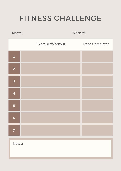# FITNESS CHALLENGE

Month: Week of: